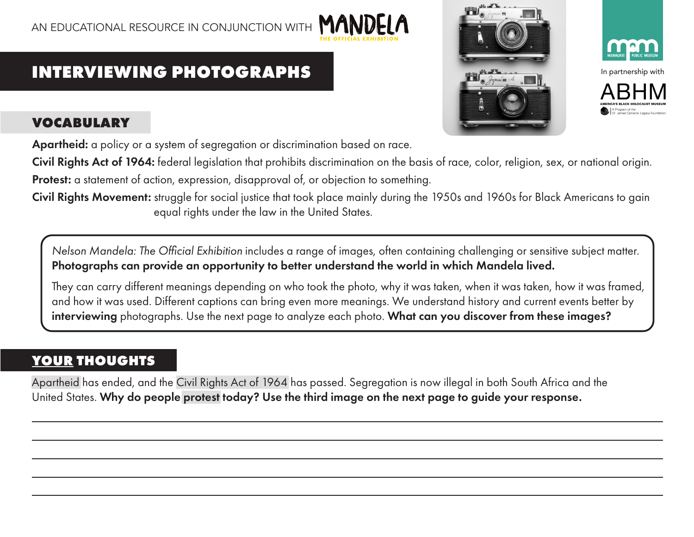# M/

# **INTERVIEWING PHOTOGRAPHS**



### **VOCABULARY**

Apartheid: a policy or a system of segregation or discrimination based on race.

Civil Rights Act of 1964: federal legislation that prohibits discrimination on the basis of race, color, religion, sex, or national origin. Protest: a statement of action, expression, disapproval of, or objection to something.

Civil Rights Movement: struggle for social justice that took place mainly during the 1950s and 1960s for Black Americans to gain equal rights under the law in the United States.

*Nelson Mandela: The Official Exhibition* includes a range of images, often containing challenging or sensitive subject matter. Photographs can provide an opportunity to better understand the world in which Mandela lived.

They can carry different meanings depending on who took the photo, why it was taken, when it was taken, how it was framed, and how it was used. Different captions can bring even more meanings. We understand history and current events better by interviewing photographs. Use the next page to analyze each photo. What can you discover from these images?

## **YOUR THOUGHTS**

Apartheid has ended, and the Civil Rights Act of 1964 has passed. Segregation is now illegal in both South Africa and the United States. Why do people protest today? Use the third image on the next page to guide your response.